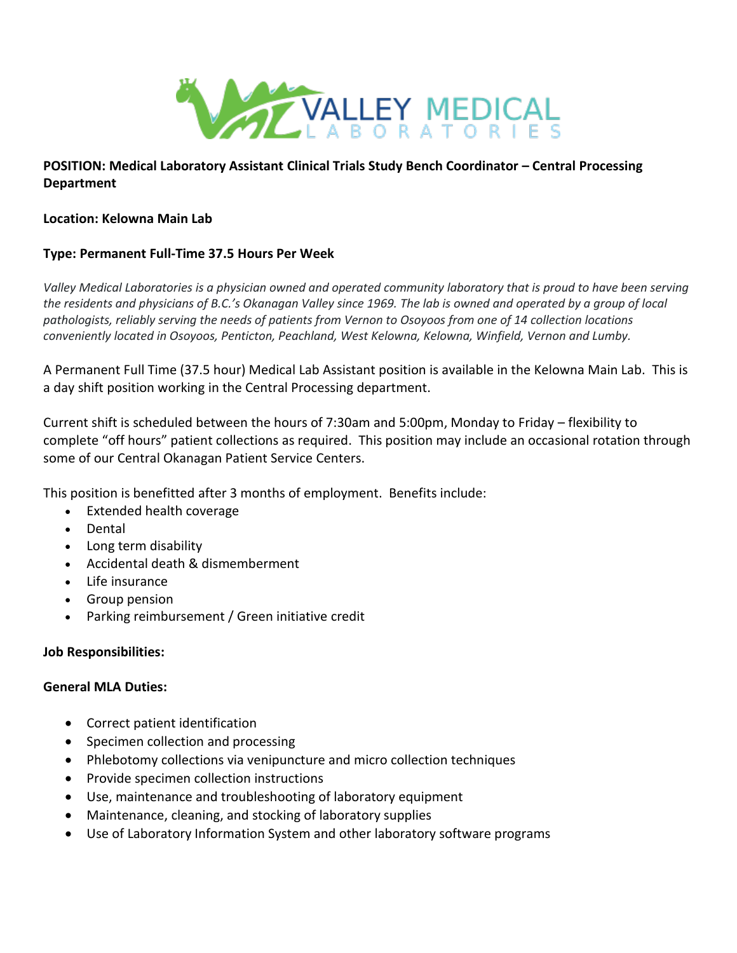

# **POSITION: Medical Laboratory Assistant Clinical Trials Study Bench Coordinator – Central Processing Department**

### **Location: Kelowna Main Lab**

### **Type: Permanent Full-Time 37.5 Hours Per Week**

*Valley Medical Laboratories is a physician owned and operated community laboratory that is proud to have been serving the residents and physicians of B.C.'s Okanagan Valley since 1969. The lab is owned and operated by a group of local pathologists, reliably serving the needs of patients from Vernon to Osoyoos from one of 14 collection locations conveniently located in Osoyoos, Penticton, Peachland, West Kelowna, Kelowna, Winfield, Vernon and Lumby.*

A Permanent Full Time (37.5 hour) Medical Lab Assistant position is available in the Kelowna Main Lab. This is a day shift position working in the Central Processing department.

Current shift is scheduled between the hours of 7:30am and 5:00pm, Monday to Friday – flexibility to complete "off hours" patient collections as required. This position may include an occasional rotation through some of our Central Okanagan Patient Service Centers.

This position is benefitted after 3 months of employment. Benefits include:

- Extended health coverage
- Dental
- Long term disability
- Accidental death & dismemberment
- Life insurance
- Group pension
- Parking reimbursement / Green initiative credit

## **Job Responsibilities:**

#### **General MLA Duties:**

- Correct patient identification
- Specimen collection and processing
- Phlebotomy collections via venipuncture and micro collection techniques
- Provide specimen collection instructions
- Use, maintenance and troubleshooting of laboratory equipment
- Maintenance, cleaning, and stocking of laboratory supplies
- Use of Laboratory Information System and other laboratory software programs